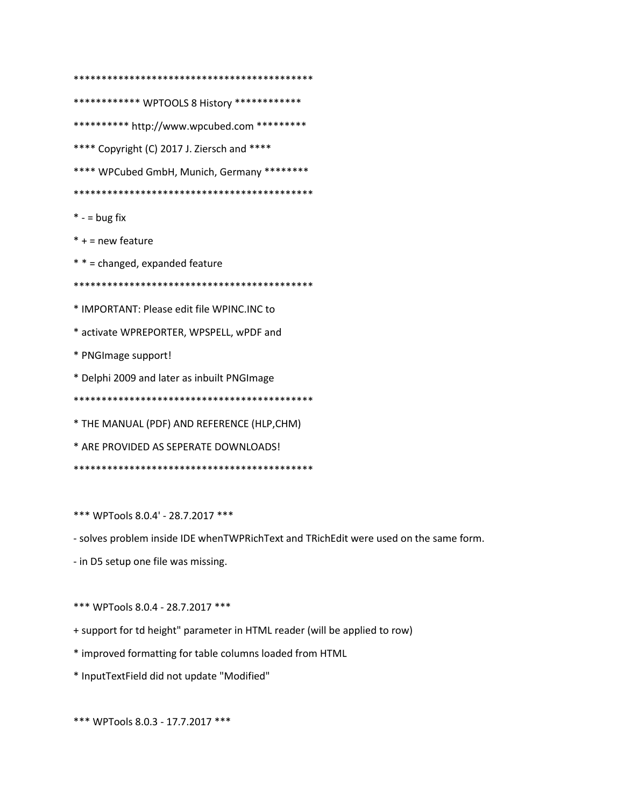\*\*\*\*\*\*\*\*\*\*\*\* WPTOOLS 8 History \*\*\*\*\*\*\*\*\*\*\*\*\* \*\*\*\*\*\*\*\*\*\* http://www.wpcubed.com \*\*\*\*\*\*\*\*\* \*\*\*\* Copyright (C) 2017 J. Ziersch and \*\*\*\* \*\*\*\* WPCubed GmbH, Munich, Germany \*\*\*\*\*\*\*\*  $* -$  = bug fix  $* +$  = new feature \* \* = changed, expanded feature \* IMPORTANT: Please edit file WPINC.INC to \* activate WPREPORTER, WPSPELL, wPDF and \* PNGImage support! \* Delphi 2009 and later as inbuilt PNGImage \* THE MANUAL (PDF) AND REFERENCE (HLP, CHM) \* ARE PROVIDED AS SEPERATE DOWNLOADS! 

\*\*\* WPTools 8.0.4' - 28.7.2017 \*\*\*

- solves problem inside IDE whenTWPRichText and TRichEdit were used on the same form.

- in D5 setup one file was missing.

\*\*\* WPTools 8.0.4 - 28.7.2017 \*\*\*

+ support for td height" parameter in HTML reader (will be applied to row)

\* improved formatting for table columns loaded from HTML

\* InputTextField did not update "Modified"

\*\*\* WPTools 8.0.3 - 17.7.2017 \*\*\*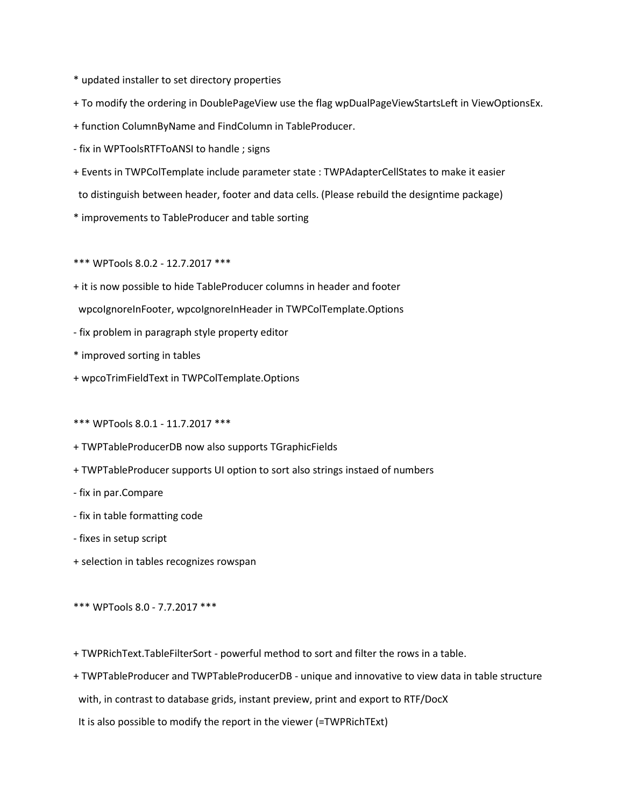- \* updated installer to set directory properties
- + To modify the ordering in DoublePageView use the flag wpDualPageViewStartsLeft in ViewOptionsEx.
- + function ColumnByName and FindColumn in TableProducer.
- fix in WPToolsRTFToANSI to handle ; signs
- + Events in TWPColTemplate include parameter state : TWPAdapterCellStates to make it easier to distinguish between header, footer and data cells. (Please rebuild the designtime package)
- \* improvements to TableProducer and table sorting
- \*\*\* WPTools 8.0.2 12.7.2017 \*\*\*
- + it is now possible to hide TableProducer columns in header and footer wpcoIgnoreInFooter, wpcoIgnoreInHeader in TWPColTemplate.Options
- fix problem in paragraph style property editor
- \* improved sorting in tables
- + wpcoTrimFieldText in TWPColTemplate.Options
- \*\*\* WPTools 8.0.1 11.7.2017 \*\*\*
- + TWPTableProducerDB now also supports TGraphicFields
- + TWPTableProducer supports UI option to sort also strings instaed of numbers
- fix in par.Compare
- fix in table formatting code
- fixes in setup script
- + selection in tables recognizes rowspan
- \*\*\* WPTools 8.0 7.7.2017 \*\*\*
- + TWPRichText.TableFilterSort powerful method to sort and filter the rows in a table.
- + TWPTableProducer and TWPTableProducerDB unique and innovative to view data in table structure with, in contrast to database grids, instant preview, print and export to RTF/DocX
- It is also possible to modify the report in the viewer (=TWPRichTExt)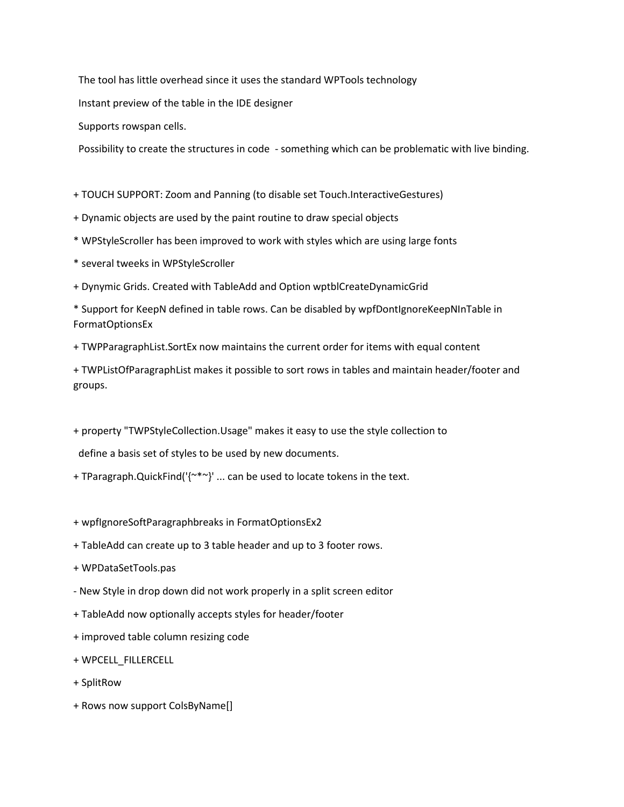The tool has little overhead since it uses the standard WPTools technology

Instant preview of the table in the IDE designer

Supports rowspan cells.

Possibility to create the structures in code - something which can be problematic with live binding.

+ TOUCH SUPPORT: Zoom and Panning (to disable set Touch.InteractiveGestures)

- + Dynamic objects are used by the paint routine to draw special objects
- \* WPStyleScroller has been improved to work with styles which are using large fonts
- \* several tweeks in WPStyleScroller
- + Dynymic Grids. Created with TableAdd and Option wptblCreateDynamicGrid

\* Support for KeepN defined in table rows. Can be disabled by wpfDontIgnoreKeepNInTable in FormatOptionsEx

+ TWPParagraphList.SortEx now maintains the current order for items with equal content

+ TWPListOfParagraphList makes it possible to sort rows in tables and maintain header/footer and groups.

+ property "TWPStyleCollection.Usage" makes it easy to use the style collection to

define a basis set of styles to be used by new documents.

+ TParagraph.QuickFind('{~\*~}' ... can be used to locate tokens in the text.

+ wpfIgnoreSoftParagraphbreaks in FormatOptionsEx2

- + TableAdd can create up to 3 table header and up to 3 footer rows.
- + WPDataSetTools.pas
- New Style in drop down did not work properly in a split screen editor
- + TableAdd now optionally accepts styles for header/footer
- + improved table column resizing code
- + WPCELL\_FILLERCELL
- + SplitRow
- + Rows now support ColsByName[]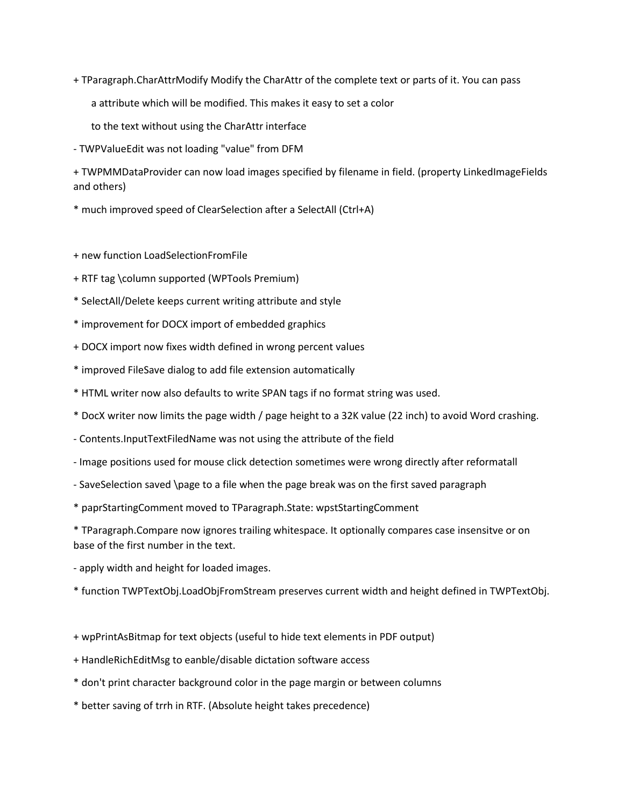- + TParagraph.CharAttrModify Modify the CharAttr of the complete text or parts of it. You can pass
	- a attribute which will be modified. This makes it easy to set a color
	- to the text without using the CharAttr interface
- TWPValueEdit was not loading "value" from DFM
- + TWPMMDataProvider can now load images specified by filename in field. (property LinkedImageFields and others)
- \* much improved speed of ClearSelection after a SelectAll (Ctrl+A)
- + new function LoadSelectionFromFile
- + RTF tag \column supported (WPTools Premium)
- \* SelectAll/Delete keeps current writing attribute and style
- \* improvement for DOCX import of embedded graphics
- + DOCX import now fixes width defined in wrong percent values
- \* improved FileSave dialog to add file extension automatically
- \* HTML writer now also defaults to write SPAN tags if no format string was used.
- \* DocX writer now limits the page width / page height to a 32K value (22 inch) to avoid Word crashing.
- Contents.InputTextFiledName was not using the attribute of the field
- Image positions used for mouse click detection sometimes were wrong directly after reformatall
- SaveSelection saved \page to a file when the page break was on the first saved paragraph
- \* paprStartingComment moved to TParagraph.State: wpstStartingComment

\* TParagraph.Compare now ignores trailing whitespace. It optionally compares case insensitve or on base of the first number in the text.

- apply width and height for loaded images.
- \* function TWPTextObj.LoadObjFromStream preserves current width and height defined in TWPTextObj.
- + wpPrintAsBitmap for text objects (useful to hide text elements in PDF output)
- + HandleRichEditMsg to eanble/disable dictation software access
- \* don't print character background color in the page margin or between columns
- \* better saving of trrh in RTF. (Absolute height takes precedence)